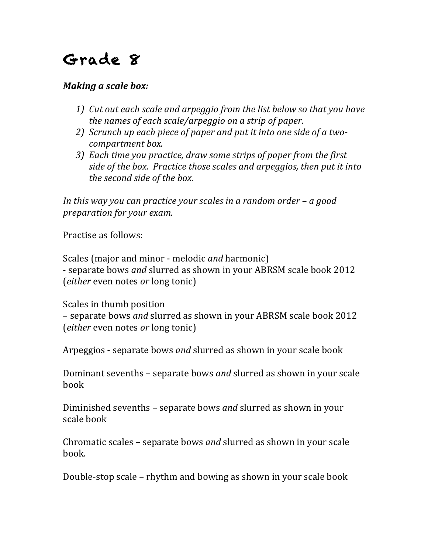## Grade 8

## *Making a scale box:*

- *1)* Cut out each scale and arpeggio from the list below so that you have *the names of each scale/arpeggio on a strip of paper.*
- 2) *Scrunch up each piece of paper and put it into one side of a twocompartment box.*
- *3*) Each *time* you practice, draw some strips of paper from the first *side of the box. Practice those scales and arpeggios, then put it into the second side of the box.*

*In this* way you can practice your scales in a random order – a good *preparation* for your exam.

Practise as follows:

Scales (major and minor - melodic *and* harmonic) - separate bows *and* slurred as shown in your ABRSM scale book 2012 (*either* even notes *or* long tonic)

Scales in thumb position – separate bows *and* slurred as shown in your ABRSM scale book 2012 (*either* even notes *or* long tonic)

Arpeggios - separate bows *and* slurred as shown in your scale book

Dominant sevenths – separate bows *and* slurred as shown in your scale book

Diminished sevenths – separate bows *and* slurred as shown in your scale book

Chromatic scales – separate bows *and* slurred as shown in your scale book.

Double-stop scale – rhythm and bowing as shown in your scale book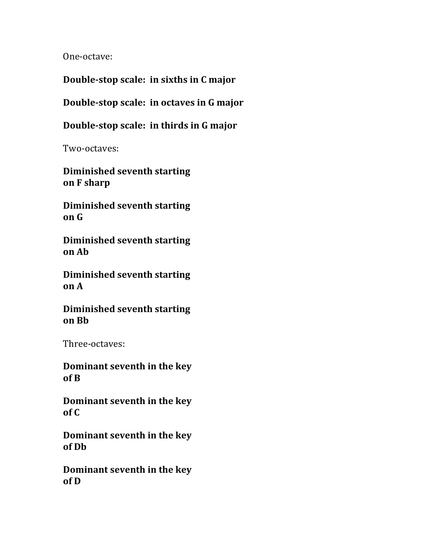One-octave:

**Double-stop scale: in sixths in C major** 

**Double-stop scale: in octaves in G major**

**Double-stop scale: in thirds in G major** 

Two-octaves:

**Diminished seventh starting on F sharp**

**Diminished seventh starting on G**

**Diminished seventh starting on Ab**

**Diminished seventh starting on A**

**Diminished seventh starting on Bb**

Three-octaves:

**Dominant seventh in the key of B**

**Dominant seventh in the key of C**

**Dominant seventh in the key of Db**

**Dominant seventh in the key of D**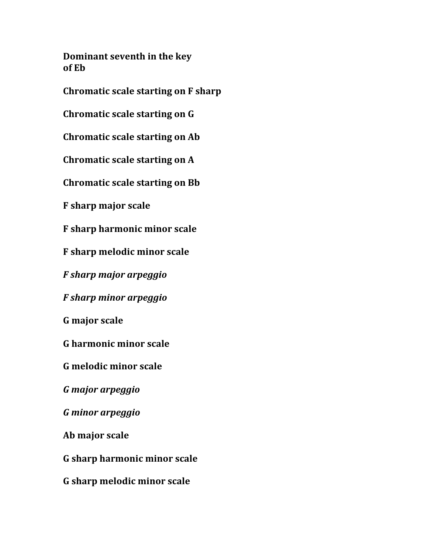**Dominant seventh in the key of Eb**

**Chromatic scale starting on F sharp** 

**Chromatic scale starting on G** 

**Chromatic scale starting on Ab** 

**Chromatic scale starting on A** 

**Chromatic scale starting on Bb** 

**F sharp major scale**

**F** sharp harmonic minor scale

**F sharp melodic minor scale**

*F sharp major arpeggio*

*F sharp minor arpeggio*

**G major scale**

**G harmonic minor scale**

**G melodic minor scale**

*G major arpeggio*

*G minor arpeggio*

**Ab major scale**

**G sharp harmonic minor scale**

**G sharp melodic minor scale**